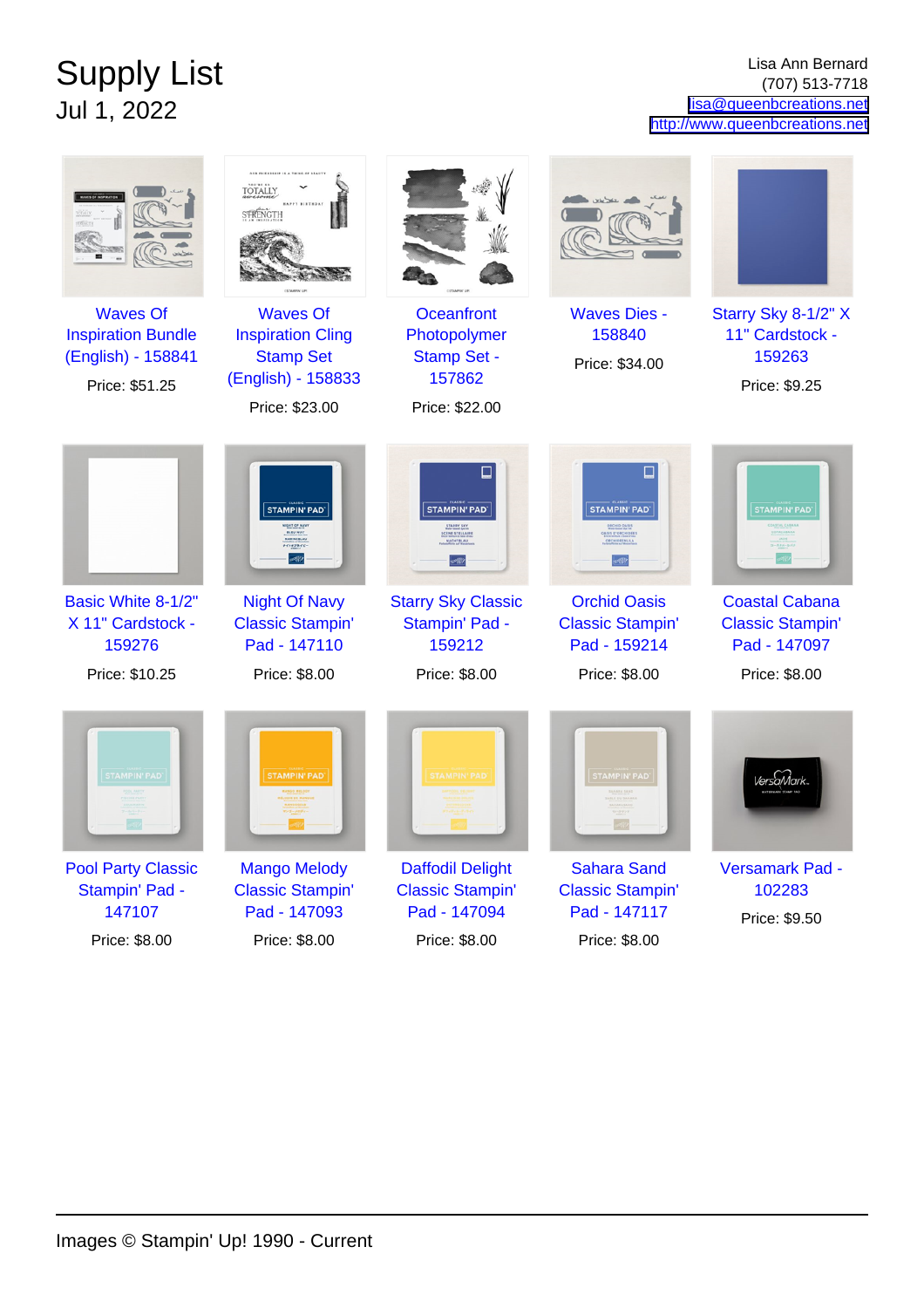## Supply List Jul 1, 2022

Lisa Ann Bernard (707) 513-7718 [lisa@queenbcreations.net](mailto:lisa@queenbcreations.net) <http://www.queenbcreations.net>

|                                                                                      | OUR FRIENDSHIP IS A THING OF READY<br>TOTALLY<br>STRENGTH                                               |                                                                                     |                                                                |                                                                   |
|--------------------------------------------------------------------------------------|---------------------------------------------------------------------------------------------------------|-------------------------------------------------------------------------------------|----------------------------------------------------------------|-------------------------------------------------------------------|
| <b>Waves Of</b><br><b>Inspiration Bundle</b><br>(English) - 158841<br>Price: \$51.25 | <b>Waves Of</b><br><b>Inspiration Cling</b><br><b>Stamp Set</b><br>(English) - 158833<br>Price: \$23.00 | <b>Oceanfront</b><br>Photopolymer<br><b>Stamp Set -</b><br>157862<br>Price: \$22.00 | <b>Waves Dies -</b><br>158840<br>Price: \$34.00                | Starry Sky 8-1/2" X<br>11" Cardstock -<br>159263<br>Price: \$9.25 |
|                                                                                      | <b>STAMPIN' PAD'</b><br>MARINERLAU<br>$-0.87846$                                                        | ⊔<br><b>STAMPIN' PAD</b><br><b>CENE STELLAIR</b>                                    | <b>STAMPIN' PAD</b>                                            | <b>STAMPIN' PAD</b><br>一天歩ルーカバナ                                   |
| Basic White 8-1/2"<br>X 11" Cardstock -<br>159276                                    | <b>Night Of Navy</b><br><b>Classic Stampin'</b><br>Pad - 147110                                         | <b>Starry Sky Classic</b><br>Stampin' Pad -<br>159212                               | <b>Orchid Oasis</b><br><b>Classic Stampin'</b><br>Pad - 159214 | <b>Coastal Cabana</b><br><b>Classic Stampin'</b><br>Pad - 147097  |
| Price: \$10.25                                                                       | Price: \$8.00                                                                                           | Price: \$8.00                                                                       | Price: \$8.00                                                  | Price: \$8.00                                                     |
| <b>STAMPIN' PAD'</b>                                                                 | <b>STAMPIN' PAD</b>                                                                                     | <b>TAMPIN' PAD</b>                                                                  | <b>STAMPIN' PAD</b>                                            | VersaMark                                                         |
| <b>Pool Party Classic</b><br>Stampin' Pad -<br>147107                                | <b>Mango Melody</b><br><b>Classic Stampin'</b><br>Pad - 147093                                          | <b>Daffodil Delight</b><br><b>Classic Stampin'</b><br>Pad - 147094                  | <b>Sahara Sand</b><br><b>Classic Stampin'</b><br>Pad - 147117  | Versamark Pad -<br>102283<br>Price: \$9.50                        |
| Price: \$8.00                                                                        | Price: \$8.00                                                                                           | Price: \$8.00                                                                       | Price: \$8.00                                                  |                                                                   |